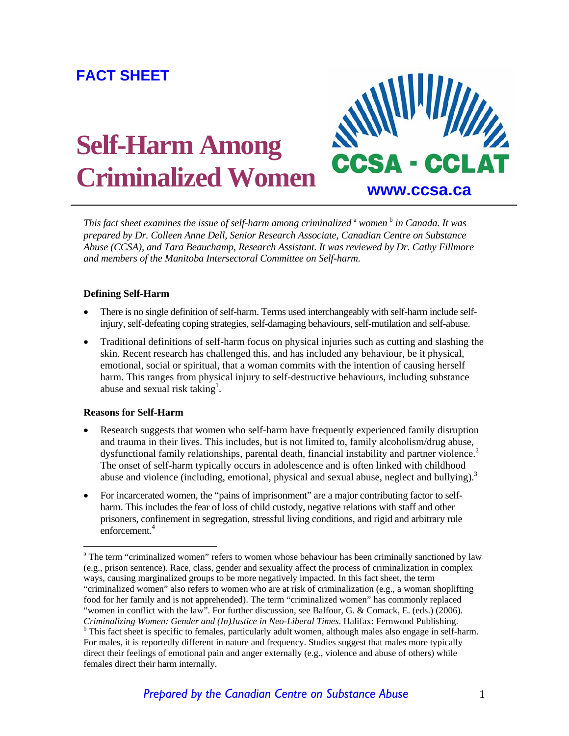## **FACT SHEET**

# **Self-Harm Among Criminalized Women www.ccsa.ca**



This fact sheet examines the issue of self-harm among criminalized <sup>a</sup> women <sup>b</sup> in Canada. It was *prepared by Dr. Colleen Anne Dell, Senior Research Associate, Canadian Centre on Substance Abuse (CCSA), and Tara Beauchamp, Research Assistant. It was reviewed by Dr. Cathy Fillmore and members of the Manitoba Intersectoral Committee on Self-harm.* 

#### **Defining Self-Harm**

- There is no single definition of self-harm. Terms used interchangeably with self-harm include selfinjury, self-defeating coping strategies, self-damaging behaviours, self-mutilation and self-abuse.
- Traditional definitions of self-harm focus on physical injuries such as cutting and slashing the skin. Recent research has challenged this, and has included any behaviour, be it physical, emotional, social or spiritual, that a woman commits with the intention of causing herself harm. This ranges from physical injury to self-destructive behaviours, including substance abuse and sexual risk taking<sup>1</sup>.

#### **Reasons for Self-Harm**

 $\overline{a}$ 

- Research suggests that women who self-harm have frequently experienced family disruption and trauma in their lives. This includes, but is not limited to, family alcoholism/drug abuse, dysfunctional family relationships, parental death, financial instability and partner violence.<sup>2</sup> The onset of self-harm typically occurs in adolescence and is often linked with childhood abuse and violence (including, emotional, physical and sexual abuse, neglect and bullying). $3$
- For incarcerated women, the "pains of imprisonment" are a major contributing factor to selfharm. This includes the fear of loss of child custody, negative relations with staff and other prisoners, confinement in segregation, stressful living conditions, and rigid and arbitrary rule enforcement.<sup>4</sup>

<sup>&</sup>lt;sup>a</sup> The term "criminalized women" refers to women whose behaviour has been criminally sanctioned by law (e.g., prison sentence). Race, class, gender and sexuality affect the process of criminalization in complex ways, causing marginalized groups to be more negatively impacted. In this fact sheet, the term "criminalized women" also refers to women who are at risk of criminalization (e.g., a woman shoplifting food for her family and is not apprehended). The term "criminalized women" has commonly replaced "women in conflict with the law". For further discussion, see Balfour, G. & Comack, E. (eds.) (2006). *Criminalizing Women: Gender and (In)Justice in Neo-Liberal Times*. Halifax: Fernwood Publishing. b <sup>b</sup> This fact sheet is specific to females, particularly adult women, although males also engage in self-harm. For males, it is reportedly different in nature and frequency. Studies suggest that males more typically direct their feelings of emotional pain and anger externally (e.g., violence and abuse of others) while females direct their harm internally.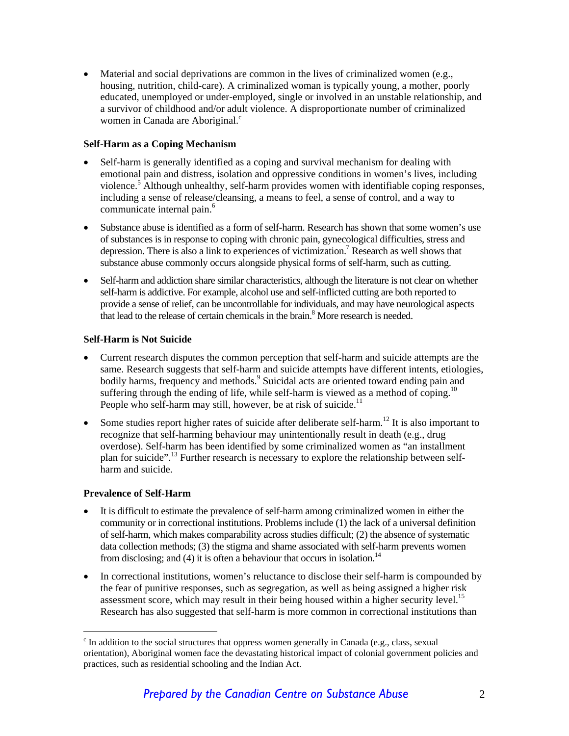• Material and social deprivations are common in the lives of criminalized women (e.g., housing, nutrition, child-care). A criminalized woman is typically young, a mother, poorly educated, unemployed or under-employed, single or involved in an unstable relationship, and a survivor of childhood and/or adult violence. A disproportionate number of criminalized women in Canada are Aboriginal.<sup>c</sup>

#### **Self-Harm as a Coping Mechanism**

- Self-harm is generally identified as a coping and survival mechanism for dealing with emotional pain and distress, isolation and oppressive conditions in women's lives, including violence.<sup>5</sup> Although unhealthy, self-harm provides women with identifiable coping responses, including a sense of release/cleansing, a means to feel, a sense of control, and a way to communicate internal pain.<sup>6</sup>
- Substance abuse is identified as a form of self-harm. Research has shown that some women's use of substances is in response to coping with chronic pain, gynecological difficulties, stress and depression. There is also a link to experiences of victimization.<sup>7</sup> Research as well shows that substance abuse commonly occurs alongside physical forms of self-harm, such as cutting.
- Self-harm and addiction share similar characteristics, although the literature is not clear on whether self-harm is addictive. For example, alcohol use and self-inflicted cutting are both reported to provide a sense of relief, can be uncontrollable for individuals, and may have neurological aspects that lead to the release of certain chemicals in the brain. $8$  More research is needed.

#### **Self-Harm is Not Suicide**

- Current research disputes the common perception that self-harm and suicide attempts are the same. Research suggests that self-harm and suicide attempts have different intents, etiologies, bodily harms, frequency and methods.<sup>9</sup> Suicidal acts are oriented toward ending pain and suffering through the ending of life, while self-harm is viewed as a method of coping.<sup>10</sup> People who self-harm may still, however, be at risk of suicide.<sup>11</sup>
- Some studies report higher rates of suicide after deliberate self-harm.<sup>12</sup> It is also important to recognize that self-harming behaviour may unintentionally result in death (e.g., drug overdose). Self-harm has been identified by some criminalized women as "an installment plan for suicide".<sup>13</sup> Further research is necessary to explore the relationship between selfharm and suicide.

#### **Prevalence of Self-Harm**

 $\overline{a}$ 

- It is difficult to estimate the prevalence of self-harm among criminalized women in either the community or in correctional institutions. Problems include (1) the lack of a universal definition of self-harm, which makes comparability across studies difficult; (2) the absence of systematic data collection methods; (3) the stigma and shame associated with self-harm prevents women from disclosing; and (4) it is often a behaviour that occurs in isolation.<sup>14</sup>
- In correctional institutions, women's reluctance to disclose their self-harm is compounded by the fear of punitive responses, such as segregation, as well as being assigned a higher risk assessment score, which may result in their being housed within a higher security level.<sup>15</sup> Research has also suggested that self-harm is more common in correctional institutions than

<sup>&</sup>lt;sup>c</sup> In addition to the social structures that oppress women generally in Canada (e.g., class, sexual orientation), Aboriginal women face the devastating historical impact of colonial government policies and practices, such as residential schooling and the Indian Act.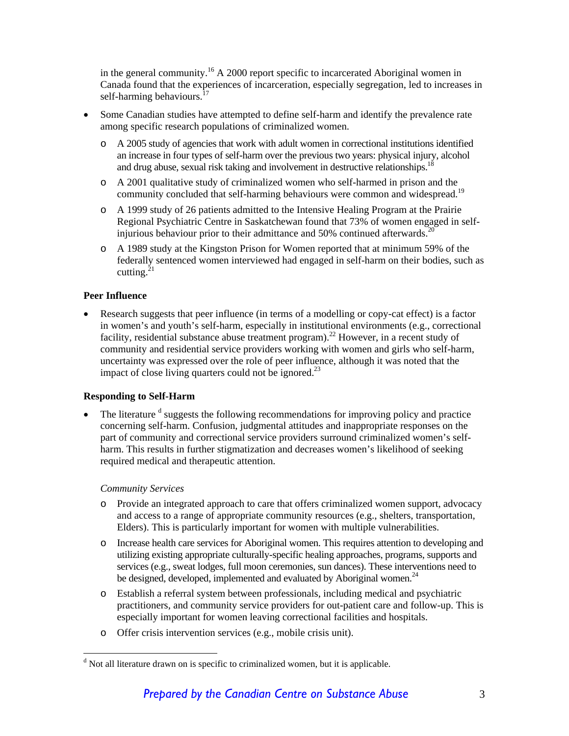in the general community.16 A 2000 report specific to incarcerated Aboriginal women in Canada found that the experiences of incarceration, especially segregation, led to increases in self-harming behaviours. $17$ 

- Some Canadian studies have attempted to define self-harm and identify the prevalence rate among specific research populations of criminalized women.
	- o A 2005 study of agencies that work with adult women in correctional institutions identified an increase in four types of self-harm over the previous two years: physical injury, alcohol and drug abuse, sexual risk taking and involvement in destructive relationships.<sup>1</sup>
	- o A 2001 qualitative study of criminalized women who self-harmed in prison and the community concluded that self-harming behaviours were common and widespread.<sup>19</sup>
	- o A 1999 study of 26 patients admitted to the Intensive Healing Program at the Prairie Regional Psychiatric Centre in Saskatchewan found that 73% of women engaged in selfinjurious behaviour prior to their admittance and  $50\%$  continued afterwards.<sup>20</sup>
	- o A 1989 study at the Kingston Prison for Women reported that at minimum 59% of the federally sentenced women interviewed had engaged in self-harm on their bodies, such as cutting. $^{21}$

#### **Peer Influence**

• Research suggests that peer influence (in terms of a modelling or copy-cat effect) is a factor in women's and youth's self-harm, especially in institutional environments (e.g., correctional facility, residential substance abuse treatment program).<sup>22</sup> However, in a recent study of community and residential service providers working with women and girls who self-harm, uncertainty was expressed over the role of peer influence, although it was noted that the impact of close living quarters could not be ignored.<sup>23</sup>

#### **Responding to Self-Harm**

 $\bullet$  The literature  $d$  suggests the following recommendations for improving policy and practice concerning self-harm. Confusion, judgmental attitudes and inappropriate responses on the part of community and correctional service providers surround criminalized women's selfharm. This results in further stigmatization and decreases women's likelihood of seeking required medical and therapeutic attention.

#### *Community Services*

 $\overline{a}$ 

- o Provide an integrated approach to care that offers criminalized women support, advocacy and access to a range of appropriate community resources (e.g., shelters, transportation, Elders). This is particularly important for women with multiple vulnerabilities.
- o Increase health care services for Aboriginal women. This requires attention to developing and utilizing existing appropriate culturally-specific healing approaches, programs, supports and services (e.g., sweat lodges, full moon ceremonies, sun dances). These interventions need to be designed, developed, implemented and evaluated by Aboriginal women.<sup>24</sup>
- o Establish a referral system between professionals, including medical and psychiatric practitioners, and community service providers for out-patient care and follow-up. This is especially important for women leaving correctional facilities and hospitals.
- o Offer crisis intervention services (e.g., mobile crisis unit).

<sup>&</sup>lt;sup>d</sup> Not all literature drawn on is specific to criminalized women, but it is applicable.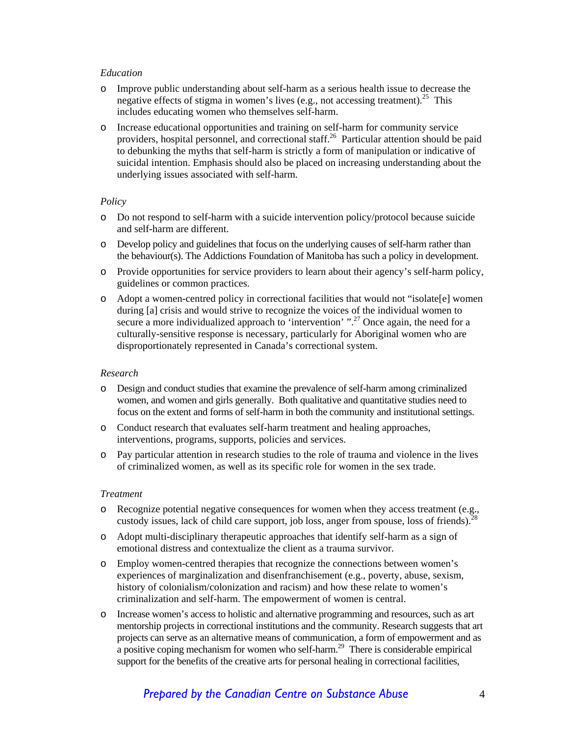#### *Education*

- o Improve public understanding about self-harm as a serious health issue to decrease the negative effects of stigma in women's lives (e.g., not accessing treatment).<sup>25</sup> This includes educating women who themselves self-harm.
- o Increase educational opportunities and training on self-harm for community service providers, hospital personnel, and correctional staff.<sup>26</sup> Particular attention should be paid to debunking the myths that self-harm is strictly a form of manipulation or indicative of suicidal intention. Emphasis should also be placed on increasing understanding about the underlying issues associated with self-harm.

#### *Policy*

- o Do not respond to self-harm with a suicide intervention policy/protocol because suicide and self-harm are different.
- o Develop policy and guidelines that focus on the underlying causes of self-harm rather than the behaviour(s). The Addictions Foundation of Manitoba has such a policy in development.
- o Provide opportunities for service providers to learn about their agency's self-harm policy, guidelines or common practices.
- o Adopt a women-centred policy in correctional facilities that would not "isolate[e] women during [a] crisis and would strive to recognize the voices of the individual women to secure a more individualized approach to 'intervention'  $\cdot$ ".<sup>27</sup> Once again, the need for a culturally-sensitive response is necessary, particularly for Aboriginal women who are disproportionately represented in Canada's correctional system.

#### *Research*

- o Design and conduct studies that examine the prevalence of self-harm among criminalized women, and women and girls generally. Both qualitative and quantitative studies need to focus on the extent and forms of self-harm in both the community and institutional settings.
- o Conduct research that evaluates self-harm treatment and healing approaches, interventions, programs, supports, policies and services.
- o Pay particular attention in research studies to the role of trauma and violence in the lives of criminalized women, as well as its specific role for women in the sex trade.

#### *Treatment*

- o Recognize potential negative consequences for women when they access treatment (e.g., custody issues, lack of child care support, job loss, anger from spouse, loss of friends).<sup>28</sup>
- o Adopt multi-disciplinary therapeutic approaches that identify self-harm as a sign of emotional distress and contextualize the client as a trauma survivor.
- o Employ women-centred therapies that recognize the connections between women's experiences of marginalization and disenfranchisement (e.g., poverty, abuse, sexism, history of colonialism/colonization and racism) and how these relate to women's criminalization and self-harm. The empowerment of women is central.
- o Increase women's access to holistic and alternative programming and resources, such as art mentorship projects in correctional institutions and the community. Research suggests that art projects can serve as an alternative means of communication, a form of empowerment and as a positive coping mechanism for women who self-harm.<sup>29</sup> There is considerable empirical support for the benefits of the creative arts for personal healing in correctional facilities,

### *Prepared by the Canadian Centre on Substance Abuse* 4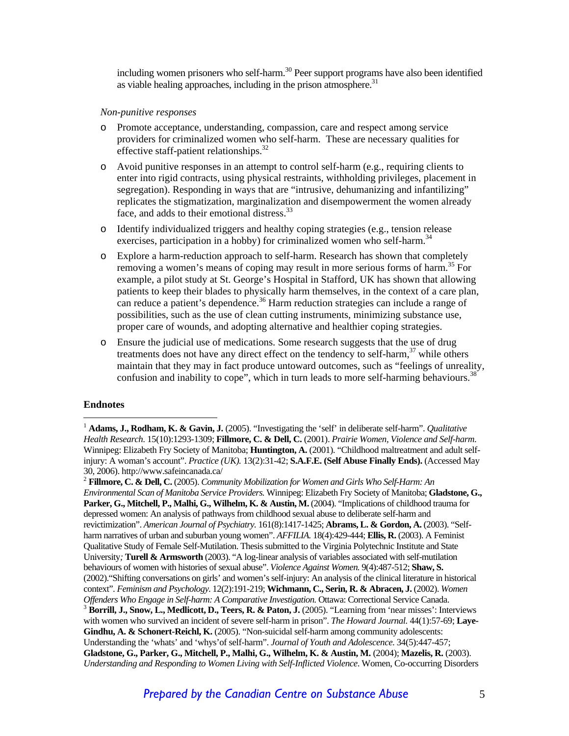including women prisoners who self-harm.<sup>30</sup> Peer support programs have also been identified as viable healing approaches, including in the prison atmosphere.<sup>31</sup>

#### *Non-punitive responses*

- Promote acceptance, understanding, compassion, care and respect among service providers for criminalized women who self-harm. These are necessary qualities for effective staff-patient relationships. $32$
- o Avoid punitive responses in an attempt to control self-harm (e.g., requiring clients to enter into rigid contracts, using physical restraints, withholding privileges, placement in segregation). Responding in ways that are "intrusive, dehumanizing and infantilizing" replicates the stigmatization, marginalization and disempowerment the women already face, and adds to their emotional distress.<sup>33</sup>
- o Identify individualized triggers and healthy coping strategies (e.g., tension release exercises, participation in a hobby) for criminalized women who self-harm.<sup>34</sup>
- o Explore a harm-reduction approach to self-harm. Research has shown that completely removing a women's means of coping may result in more serious forms of harm.<sup>35</sup> For example, a pilot study at St. George's Hospital in Stafford, UK has shown that allowing patients to keep their blades to physically harm themselves, in the context of a care plan, can reduce a patient's dependence.<sup>36</sup> Harm reduction strategies can include a range of possibilities, such as the use of clean cutting instruments, minimizing substance use, proper care of wounds, and adopting alternative and healthier coping strategies.
- o Ensure the judicial use of medications. Some research suggests that the use of drug treatments does not have any direct effect on the tendency to self-harm, $37$  while others maintain that they may in fact produce untoward outcomes, such as "feelings of unreality, confusion and inability to cope", which in turn leads to more self-harming behaviours.<sup>38</sup>

#### **Endnotes**

 $\overline{a}$ 

2  **Fillmore, C. & Dell, C.** (2005). *Community Mobilization for Women and Girls Who Self-Harm: An Environmental Scan of Manitoba Service Providers.* Winnipeg: Elizabeth Fry Society of Manitoba; **Gladstone, G., Parker, G., Mitchell, P., Malhi, G., Wilhelm, K. & Austin, M.** (2004). "Implications of childhood trauma for depressed women: An analysis of pathways from childhood sexual abuse to deliberate self-harm and revictimization". *American Journal of Psychiatry.* 161(8):1417-1425; **Abrams, L. & Gordon, A.** (2003). "Selfharm narratives of urban and suburban young women". *AFFILIA.* 18(4):429-444; **Ellis, R.** (2003). A Feminist Qualitative Study of Female Self-Mutilation. Thesis submitted to the Virginia Polytechnic Institute and State University*;* **Turell & Armsworth** (2003). "A log-linear analysis of variables associated with self-mutilation behaviours of women with histories of sexual abuse". *Violence Against Women.* 9(4):487-512; **Shaw, S.** (2002)."Shifting conversations on girls' and women's self-injury: An analysis of the clinical literature in historical context". *Feminism and Psychology*. 12(2):191-219; **Wichmann, C., Serin, R. & Abracen, J.** (2002). *Women*  Offenders Who Engage in Self-harm: A Comparative Investigation. Ottawa: Correctional Service Canada.<br><sup>3</sup> **Borrill, J., Snow, L., Medlicott, D., Teers, R. & Paton, J.** (2005). "Learning from 'near misses': Interviews with women who survived an incident of severe self-harm in prison". *The Howard Journal.* 44(1):57-69; **Laye-Gindhu, A. & Schonert-Reichl, K.** (2005). "Non-suicidal self-harm among community adolescents: Understanding the 'whats' and 'whys'of self-harm". *Journal of Youth and Adolescence*. 34(5):447-457; **Gladstone, G., Parker, G., Mitchell, P., Malhi, G., Wilhelm, K. & Austin, M.** (2004); **Mazelis, R.** (2003). *Understanding and Responding to Women Living with Self-Inflicted Violence*. Women, Co-occurring Disorders

<sup>&</sup>lt;sup>1</sup> **Adams, J., Rodham, K. & Gavin, J.** (2005). "Investigating the 'self' in deliberate self-harm". *Qualitative Health Research*. 15(10):1293-1309; **Fillmore, C. & Dell, C.** (2001). *Prairie Women, Violence and Self-harm*. Winnipeg: Elizabeth Fry Society of Manitoba; **Huntington, A.** (2001). "Childhood maltreatment and adult selfinjury: A woman's account". *Practice (UK).* 13(2):31-42; **S.A.F.E. (Self Abuse Finally Ends).** (Accessed May 30, 2006). http://www.safeincanada.ca/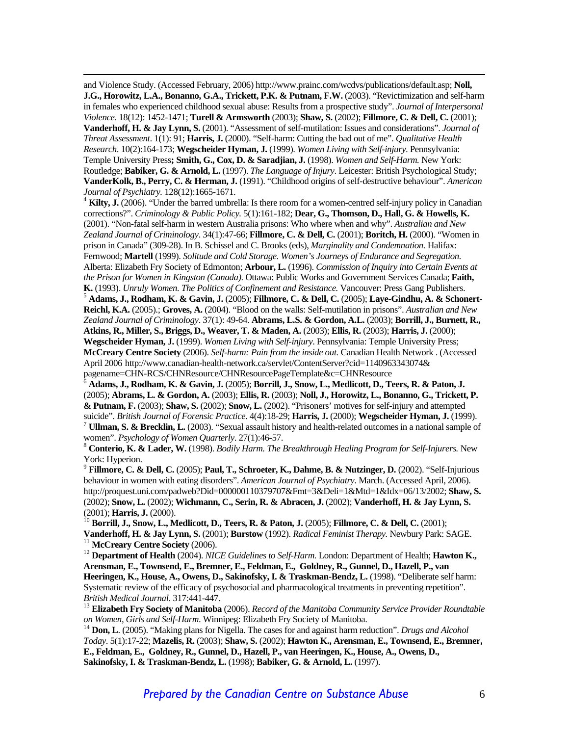and Violence Study. (Accessed February, 2006) http://www.prainc.com/wcdvs/publications/default.asp; **Noll, J.G., Horowitz, L.A., Bonanno, G.A., Trickett, P.K. & Putnam, F.W.** (2003). "Revictimization and self-harm in females who experienced childhood sexual abuse: Results from a prospective study". *Journal of Interpersonal Violence*. 18(12): 1452-1471; **Turell & Armsworth** (2003); **Shaw, S.** (2002); **Fillmore, C. & Dell, C.** (2001); **Vanderhoff, H. & Jay Lynn, S.** (2001). "Assessment of self-mutilation: Issues and considerations". *Journal of Threat Assessment*. 1(1): 91; **Harris, J.** (2000). "Self-harm: Cutting the bad out of me". *Qualitative Health Research*. 10(2):164-173; **Wegscheider Hyman, J.** (1999). *Women Living with Self-injury*. Pennsylvania: Temple University Press**; Smith, G., Cox, D. & Saradjian, J.** (1998). *Women and Self-Harm.* New York: Routledge; **Babiker, G. & Arnold, L.** (1997). *The Language of Injury*. Leicester: British Psychological Study; **VanderKolk, B., Perry, C. & Herman, J.** (1991). "Childhood origins of self-destructive behaviour". *American Journal of Psychiatry.* 128(12):1665-1671. 4

<sup>4</sup> Kilty, J. (2006). "Under the barred umbrella: Is there room for a women-centred self-injury policy in Canadian corrections?". *Criminology & Public Policy.* 5(1):161-182; **Dear, G., Thomson, D., Hall, G. & Howells, K.** (2001). "Non-fatal self-harm in western Australia prisons: Who where when and why". *Australian and New Zealand Journal of Criminology*. 34(1):47-66; **Fillmore, C. & Dell, C.** (2001); **Boritch, H.** (2000). "Women in prison in Canada" (309-28). In B. Schissel and C. Brooks (eds), *Marginality and Condemnation.* Halifax: Fernwood; **Martell** (1999). *Solitude and Cold Storage. Women's Journeys of Endurance and Segregation.* Alberta: Elizabeth Fry Society of Edmonton; **Arbour, L.** (1996). *Commission of Inquiry into Certain Events at the Prison for Women in Kingston (Canada)*. Ottawa: Public Works and Government Services Canada; **Faith, K.** (1993). *Unruly Women. The Politics of Confinement and Resistance.* Vancouver: Press Gang Publishers. 5

 **Adams, J., Rodham, K. & Gavin, J.** (2005); **Fillmore, C. & Dell, C.** (2005); **Laye-Gindhu, A. & Schonert-Reichl, K.A.** (2005).; **Groves, A.** (2004). "Blood on the walls: Self-mutilation in prisons". *Australian and New Zealand Journal of Criminology*. 37(1): 49-64. **Abrams, L.S. & Gordon, A.L.** (2003); **Borrill, J., Burnett, R., Atkins, R., Miller, S., Briggs, D., Weaver, T. & Maden, A.** (2003); **Ellis, R.** (2003); **Harris, J.** (2000); **Wegscheider Hyman, J.** (1999). *Women Living with Self-injury*. Pennsylvania: Temple University Press; **McCreary Centre Society** (2006). *Self-harm: Pain from the inside out.* Canadian Health Network . (Accessed April 2006 http://www.canadian-health-network.ca/servlet/ContentServer?cid=1140963343074& pagename=CHN-RCS/CHNResource/CHNResourcePageTemplate&c=CHNResource 6

 **Adams, J., Rodham, K. & Gavin, J.** (2005); **Borrill, J., Snow, L., Medlicott, D., Teers, R. & Paton, J.** (2005); **Abrams, L. & Gordon, A.** (2003); **Ellis, R.** (2003); **Noll, J., Horowitz, L., Bonanno, G., Trickett, P. & Putnam, F.** (2003); **Shaw, S.** (2002); **Snow, L.** (2002). "Prisoners' motives for self-injury and attempted

<sup>7</sup> Ullman, S. & Brecklin, L. (2003). "Sexual assault history and health-related outcomes in a national sample of women". *Psychology of Women Quarterly.* 27(1):46-57.<br><sup>8</sup> **Conterio, K. & Lader, W.** (1998). *Bodily Harm. The Breakthrough Healing Program for Self-Injurers.* New

York: Hyperion.

<sup>9</sup> **Fillmore, C. & Dell, C.** (2005); **Paul, T., Schroeter, K., Dahme, B. & Nutzinger, D.** (2002). "Self-Injurious behaviour in women with eating disorders". *American Journal of Psychiatry*. March. (Accessed April, 2006). http://proquest.uni.com/padweb?Did=000000110379707&Fmt=3&Deli=1&Mtd=1&Idx=06/13/2002; **Shaw, S.** (2002); **Snow, L.** (2002); **Wichmann, C., Serin, R. & Abracen, J.** (2002); **Vanderhoff, H. & Jay Lynn, S.**

(2001); **Harris, J.** (2000). 10 **Borrill, J., Snow, L., Medlicott, D., Teers, R. & Paton, J.** (2005); **Fillmore, C. & Dell, C.** (2001); Vanderhoff, H. & Jay Lynn, S. (2001); Burstow (1992). Radical Feminist Therapy. Newbury Park: SAGE.<br><sup>11</sup> McCreary Centre Society (2006).<br><sup>12</sup> Department of Health (2004). *NICE Guidelines to Self-Harm*. London: Department

**Arensman, E., Townsend, E., Bremner, E., Feldman, E., Goldney, R., Gunnel, D., Hazell, P., van Heeringen, K., House, A., Owens, D., Sakinofsky, I. & Traskman-Bendz, L.** (1998). "Deliberate self harm: Systematic review of the efficacy of psychosocial and pharmacological treatments in preventing repetition".

*British Medical Journal*. 317:441-447. 13 **Elizabeth Fry Society of Manitoba** (2006). *Record of the Manitoba Community Service Provider Roundtable on Women, Girls and Self-Harm*. Winnipeg: Elizabeth Fry Society of Manitoba. 14 **Don, L**. (2005). "Making plans for Nigella. The cases for and against harm reduction". *Drugs and Alcohol* 

*Today*. 5(1):17-22; **Mazelis, R.** (2003); **Shaw, S.** (2002); **Hawton K., Arensman, E., Townsend, E., Bremner, E., Feldman, E., Goldney, R., Gunnel, D., Hazell, P., van Heeringen, K., House, A., Owens, D., Sakinofsky, I. & Traskman-Bendz, L.** (1998); **Babiker, G. & Arnold, L.** (1997).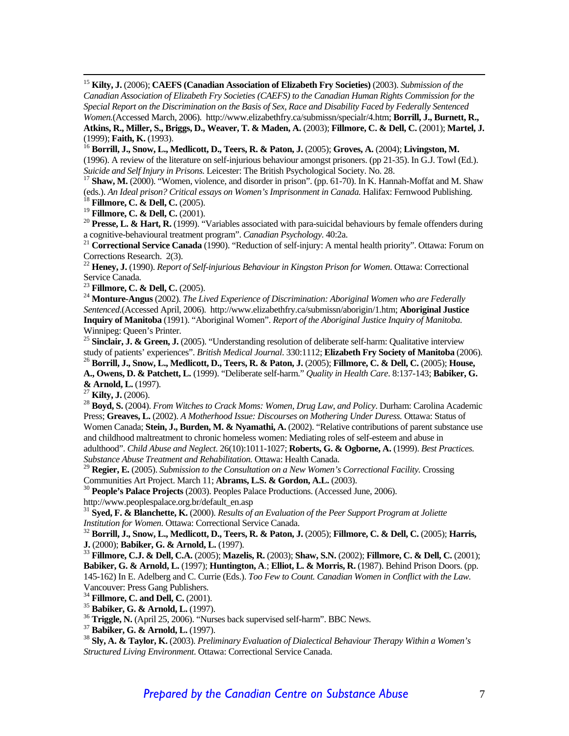15 **Kilty, J.** (2006); **CAEFS (Canadian Association of Elizabeth Fry Societies)** (2003). *Submission of the Canadian Association of Elizabeth Fry Societies (CAEFS) to the Canadian Human Rights Commission for the Special Report on the Discrimination on the Basis of Sex, Race and Disability Faced by Federally Sentenced Women.*(Accessed March, 2006). http://www.elizabethfry.ca/submissn/specialr/4.htm; **Borrill, J., Burnett, R., Atkins, R., Miller, S., Briggs, D., Weaver, T. & Maden, A.** (2003); **Fillmore, C. & Dell, C.** (2001); **Martel, J.**

(1999); **Faith, K.** (1993). 16 **Borrill, J., Snow, L., Medlicott, D., Teers, R. & Paton, J.** (2005); **Groves, A.** (2004); **Livingston, M.** (1996). A review of the literature on self-injurious behaviour amongst prisoners. (pp 21-35). In G.J. Towl (Ed.).

*Suicide and Self Injury in Prisons.* Leicester: The British Psychological Society. No. 28. 17 **Shaw, M.** (2000). "Women, violence, and disorder in prison". (pp. 61-70). In K. Hannah-Moffat and M. Shaw (eds.). *An Ideal prison? Critical essays on Women's Imprisonment in Canada.* Halifax: Fernwood Publishing.<br><sup>18</sup> Fillmore, C. & Dell, C. (2005).<br><sup>19</sup> Fillmore, C. & Dell, C. (2001).

<sup>20</sup> **Presse, L. & Hart, R.** (1999). "Variables associated with para-suicidal behaviours by female offenders during a cognitive-behavioural treatment program". *Canadian Psychology*. 40:2a.

<sup>21</sup> Correctional Service Canada (1990). "Reduction of self-injury: A mental health priority". Ottawa: Forum on Corrections Research. 2(3).

<sup>22</sup> **Heney, J.** (1990). *Report of Self-injurious Behaviour in Kingston Prison for Women*. Ottawa: Correctional Service Canada.<br><sup>23</sup> Fillmore, C. & Dell, C. (2005).

<sup>24</sup> Monture-Angus (2002). *The Lived Experience of Discrimination: Aboriginal Women who are Federally Sentenced*.(Accessed April, 2006). http://www.elizabethfry.ca/submissn/aborigin/1.htm; **Aboriginal Justice Inquiry of Manitoba** (1991). "Aboriginal Women". *Report of the Aboriginal Justice Inquiry of Manitoba.* Winnipeg: Queen's Printer.

<sup>25</sup> Sinclair, J. & Green, J. (2005). "Understanding resolution of deliberate self-harm: Qualitative interview study of patients' experiences". *British Medical Journal*. 330:1112; Elizabeth Fry Society of Manitoba (2006).

<sup>26</sup> Borrill, J., Snow, L., Medlicott, D., Teers, R. & Paton, J. (2005); Fillmore, C. & Dell, C. (2005); House, **A., Owens, D. & Patchett, L.** (1999). "Deliberate self-harm." *Quality in Health Care*. 8:137-143; **Babiker, G.** 

<sup>27</sup> **Kilty, J.** (2006).<br><sup>28</sup> **Boyd, S.** (2004). *From Witches to Crack Moms: Women, Drug Law, and Policy*. Durham: Carolina Academic Press; **Greaves, L.** (2002). *A Motherhood Issue: Discourses on Mothering Under Duress.* Ottawa: Status of Women Canada; **Stein, J., Burden, M. & Nyamathi, A.** (2002). "Relative contributions of parent substance use and childhood maltreatment to chronic homeless women: Mediating roles of self-esteem and abuse in adulthood". *Child Abuse and Neglect*. 26(10):1011-1027; **Roberts, G. & Ogborne, A.** (1999). *Best Practices. Substance Abuse Treatment and Rehabilitation.* Ottawa: Health Canada.

<sup>29</sup> **Regier, E.** (2005). *Submission to the Consultation on a New Women's Correctional Facility. Crossing* Communities Art Project. March 11; **Abrams, L.S. & Gordon, A.L.** (2003).

<sup>30</sup> People's Palace Projects (2003). Peoples Palace Productions. (Accessed June, 2006).

http://www.peoplespalace.org.br/default\_en.asp

<sup>31</sup> **Syed, F. & Blanchette, K.** (2000). *Results of an Evaluation of the Peer Support Program at Joliette Institution for Women.* Ottawa: Correctional Service Canada.<br><sup>32</sup> **Borrill, J., Snow, L., Medlicott, D., Teers, R. & Paton, J.** (2005); **Fillmore, C. & Dell, C.** (2005); **Harris,** 

**J.** (2000); Babiker, G. & Arnold, L. (1997).<br><sup>33</sup> **Fillmore, C.J. & Dell, C.A.** (2005); Mazelis, R. (2003); Shaw, S.N. (2002); **Fillmore, C. & Dell, C.** (2001);

**Babiker, G. & Arnold, L.** (1997); **Huntington, A**.; **Elliot, L. & Morris, R.** (1987). Behind Prison Doors. (pp. 145-162) In E. Adelberg and C. Currie (Eds.). *Too Few to Count. Canadian Women in Conflict with the Law.* 

Vancouver: Press Gang Publishers.<br><sup>34</sup> Fillmore, C. and Dell, C. (2001).

<sup>35</sup> Babiker, G. & Arnold, L. (1997).<br><sup>36</sup> Triggle, N. (April 25, 2006). "Nurses back supervised self-harm". BBC News.<br><sup>37</sup> Babiker, G. & Arnold, L. (1997).<br><sup>38</sup> Sly, A. & Taylor, K. (2003). *Preliminary Evaluation of Dia Structured Living Environment*. Ottawa: Correctional Service Canada.